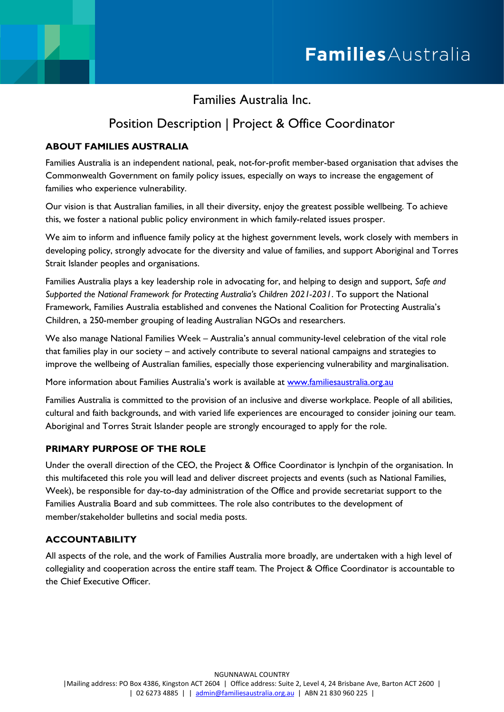Families Australia Inc.

# Position Description | Project & Office Coordinator

# **ABOUT FAMILIES AUSTRALIA**

Families Australia is an independent national, peak, not-for-profit member-based organisation that advises the Commonwealth Government on family policy issues, especially on ways to increase the engagement of families who experience vulnerability.

Our vision is that Australian families, in all their diversity, enjoy the greatest possible wellbeing. To achieve this, we foster a national public policy environment in which family-related issues prosper.

We aim to inform and influence family policy at the highest government levels, work closely with members in developing policy, strongly advocate for the diversity and value of families, and support Aboriginal and Torres Strait Islander peoples and organisations.

Families Australia plays a key leadership role in advocating for, and helping to design and support, *Safe and Supported the National Framework for Protecting Australia's Children 2021-2031*. To support the National Framework, Families Australia established and convenes the National Coalition for Protecting Australia's Children, a 250-member grouping of leading Australian NGOs and researchers.

We also manage National Families Week – Australia's annual community-level celebration of the vital role that families play in our society – and actively contribute to several national campaigns and strategies to improve the wellbeing of Australian families, especially those experiencing vulnerability and marginalisation.

More information about Families Australia's work is available at [www.familiesaustralia.org.au](http://www.familiesaustralia.org.au/)

Families Australia is committed to the provision of an inclusive and diverse workplace. People of all abilities, cultural and faith backgrounds, and with varied life experiences are encouraged to consider joining our team. Aboriginal and Torres Strait Islander people are strongly encouraged to apply for the role.

## **PRIMARY PURPOSE OF THE ROLE**

Under the overall direction of the CEO, the Project & Office Coordinator is lynchpin of the organisation. In this multifaceted this role you will lead and deliver discreet projects and events (such as National Families, Week), be responsible for day-to-day administration of the Office and provide secretariat support to the Families Australia Board and sub committees. The role also contributes to the development of member/stakeholder bulletins and social media posts.

# **ACCOUNTABILITY**

All aspects of the role, and the work of Families Australia more broadly, are undertaken with a high level of collegiality and cooperation across the entire staff team. The Project & Office Coordinator is accountable to the Chief Executive Officer.